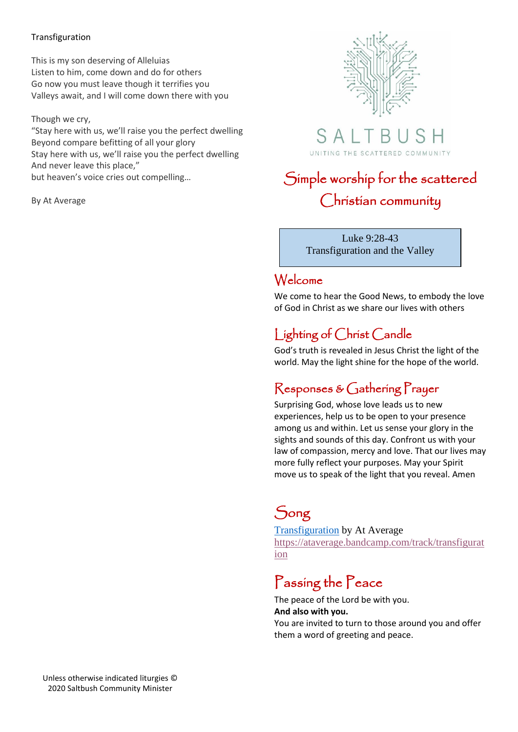#### Transfiguration

This is my son deserving of Alleluias Listen to him, come down and do for others Go now you must leave though it terrifies you Valleys await, and I will come down there with you

#### Though we cry,

"Stay here with us, we'll raise you the perfect dwelling Beyond compare befitting of all your glory Stay here with us, we'll raise you the perfect dwelling And never leave this place," but heaven's voice cries out compelling…

#### By At Average





# Simple worship for the scattered Christian community

Luke 9:28-43 Transfiguration and the Valley

### Welcome

We come to hear the Good News, to embody the love of God in Christ as we share our lives with others

### Lighting of Christ Candle

God's truth is revealed in Jesus Christ the light of the world. May the light shine for the hope of the world.

### Responses & Gathering Prayer

Surprising God, whose love leads us to new experiences, help us to be open to your presence among us and within. Let us sense your glory in the sights and sounds of this day. Confront us with your law of compassion, mercy and love. That our lives may more fully reflect your purposes. May your Spirit move us to speak of the light that you reveal. Amen

# Song

[Transfiguration](https://ataverage.bandcamp.com/track/transfiguration) by At Average [https://ataverage.bandcamp.com/track/transfigurat](https://ataverage.bandcamp.com/track/transfiguration) [ion](https://ataverage.bandcamp.com/track/transfiguration)

# Passing the Peace

The peace of the Lord be with you. **And also with you.** You are invited to turn to those around you and offer them a word of greeting and peace.